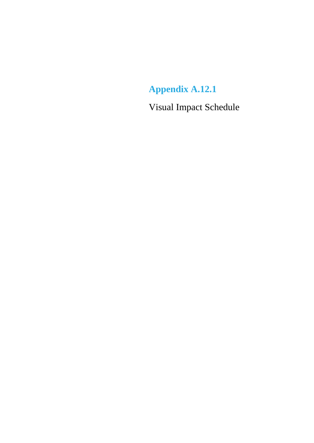## **Appendix A.12.1**

Visual Impact Schedule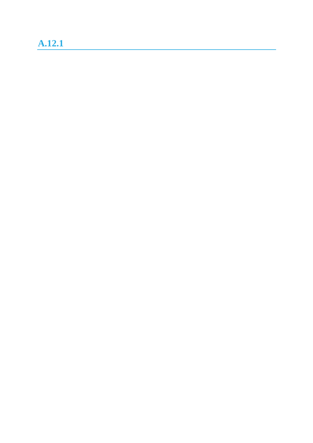## **A.12.1**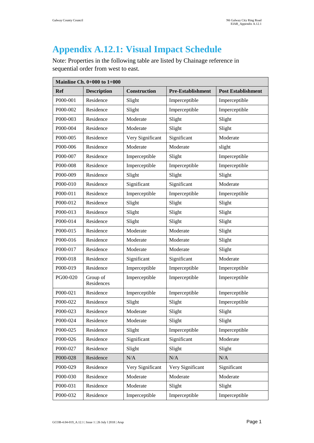ř.

## **Appendix A.12.1: Visual Impact Schedule**

Note: Properties in the following table are listed by Chainage reference in sequential order from west to east.

| Mainline Ch. $0+000$ to $1+000$ |                        |                     |                          |                           |
|---------------------------------|------------------------|---------------------|--------------------------|---------------------------|
| <b>Ref</b>                      | <b>Description</b>     | <b>Construction</b> | <b>Pre-Establishment</b> | <b>Post Establishment</b> |
| P000-001                        | Residence              | Slight              | Imperceptible            | Imperceptible             |
| P000-002                        | Residence              | Slight              | Imperceptible            | Imperceptible             |
| P000-003                        | Residence              | Moderate            | Slight                   | Slight                    |
| P000-004                        | Residence              | Moderate            | Slight                   | Slight                    |
| P000-005                        | Residence              | Very Significant    | Significant              | Moderate                  |
| P000-006                        | Residence              | Moderate            | Moderate                 | slight                    |
| P000-007                        | Residence              | Imperceptible       | Slight                   | Imperceptible             |
| P000-008                        | Residence              | Imperceptible       | Imperceptible            | Imperceptible             |
| P000-009                        | Residence              | Slight              | Slight                   | Slight                    |
| P000-010                        | Residence              | Significant         | Significant              | Moderate                  |
| P000-011                        | Residence              | Imperceptible       | Imperceptible            | Imperceptible             |
| P000-012                        | Residence              | Slight              | Slight                   | Slight                    |
| P000-013                        | Residence              | Slight              | Slight                   | Slight                    |
| P000-014                        | Residence              | Slight              | Slight                   | Slight                    |
| P000-015                        | Residence              | Moderate            | Moderate                 | Slight                    |
| P000-016                        | Residence              | Moderate            | Moderate                 | Slight                    |
| P000-017                        | Residence              | Moderate            | Moderate                 | Slight                    |
| P000-018                        | Residence              | Significant         | Significant              | Moderate                  |
| P000-019                        | Residence              | Imperceptible       | Imperceptible            | Imperceptible             |
| PG00-020                        | Group of<br>Residences | Imperceptible       | Imperceptible            | Imperceptible             |
| P000-021                        | Residence              | Imperceptible       | Imperceptible            | Imperceptible             |
| P000-022                        | Residence              | Slight              | Slight                   | Imperceptible             |
| P000-023                        | Residence              | Moderate            | Slight                   | Slight                    |
| P000-024                        | Residence              | Moderate            | Slight                   | Slight                    |
| P000-025                        | Residence              | Slight              | Imperceptible            | Imperceptible             |
| P000-026                        | Residence              | Significant         | Significant              | Moderate                  |
| P000-027                        | Residence              | Slight              | Slight                   | Slight                    |
| P000-028                        | Residence              | N/A                 | N/A                      | N/A                       |
| P000-029                        | Residence              | Very Significant    | Very Significant         | Significant               |
| P000-030                        | Residence              | Moderate            | Moderate                 | Moderate                  |
| P000-031                        | Residence              | Moderate            | Slight                   | Slight                    |
| P000-032                        | Residence              | Imperceptible       | Imperceptible            | Imperceptible             |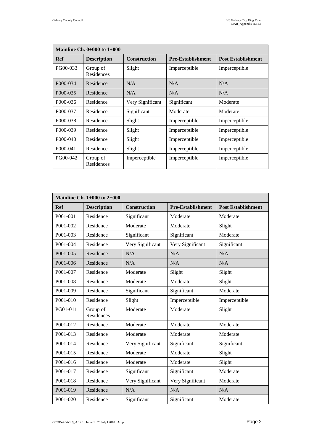| Mainline Ch. $0+000$ to $1+000$ |                        |                     |                          |                           |
|---------------------------------|------------------------|---------------------|--------------------------|---------------------------|
| Ref                             | <b>Description</b>     | <b>Construction</b> | <b>Pre-Establishment</b> | <b>Post Establishment</b> |
| PG00-033                        | Group of<br>Residences | Slight              | Imperceptible            | Imperceptible             |
| P000-034                        | Residence              | N/A                 | N/A                      | N/A                       |
| P000-035                        | Residence              | N/A                 | N/A                      | N/A                       |
| P000-036                        | Residence              | Very Significant    | Significant              | Moderate                  |
| P000-037                        | Residence              | Significant         | Moderate                 | Moderate                  |
| P000-038                        | Residence              | Slight              | Imperceptible            | Imperceptible             |
| P <sub>000</sub> -039           | Residence              | Slight              | Imperceptible            | Imperceptible             |
| P000-040                        | Residence              | Slight              | Imperceptible            | Imperceptible             |
| P000-041                        | Residence              | Slight              | Imperceptible            | Imperceptible             |
| PG00-042                        | Group of<br>Residences | Imperceptible       | Imperceptible            | Imperceptible             |

| <b>Mainline Ch. 1+000 to 2+000</b> |                        |                     |                          |                           |
|------------------------------------|------------------------|---------------------|--------------------------|---------------------------|
| <b>Ref</b>                         | <b>Description</b>     | <b>Construction</b> | <b>Pre-Establishment</b> | <b>Post Establishment</b> |
| P001-001                           | Residence              | Significant         | Moderate                 | Moderate                  |
| P001-002                           | Residence              | Moderate            | Moderate                 | Slight                    |
| P001-003                           | Residence              | Significant         | Significant              | Moderate                  |
| P001-004                           | Residence              | Very Significant    | Very Significant         | Significant               |
| P001-005                           | Residence              | N/A                 | N/A                      | N/A                       |
| P001-006                           | Residence              | N/A                 | N/A                      | N/A                       |
| P001-007                           | Residence              | Moderate            | Slight                   | Slight                    |
| P001-008                           | Residence              | Moderate            | Moderate                 | Slight                    |
| P001-009                           | Residence              | Significant         | Significant              | Moderate                  |
| P001-010                           | Residence              | Slight              | Imperceptible            | Imperceptible             |
| PG01-011                           | Group of<br>Residences | Moderate            | Moderate                 | Slight                    |
| P001-012                           | Residence              | Moderate            | Moderate                 | Moderate                  |
| P001-013                           | Residence              | Moderate            | Moderate                 | Moderate                  |
| P001-014                           | Residence              | Very Significant    | Significant              | Significant               |
| P001-015                           | Residence              | Moderate            | Moderate                 | Slight                    |
| P001-016                           | Residence              | Moderate            | Moderate                 | Slight                    |
| P001-017                           | Residence              | Significant         | Significant              | Moderate                  |
| P001-018                           | Residence              | Very Significant    | Very Significant         | Moderate                  |
| P001-019                           | Residence              | N/A                 | N/A                      | N/A                       |
| P001-020                           | Residence              | Significant         | Significant              | Moderate                  |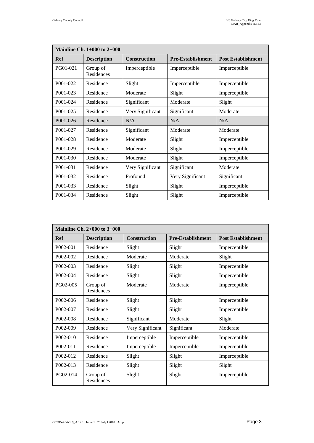| <b>Mainline Ch. 1+000 to 2+000</b> |                        |                     |                          |                           |
|------------------------------------|------------------------|---------------------|--------------------------|---------------------------|
| Ref                                | <b>Description</b>     | <b>Construction</b> | <b>Pre-Establishment</b> | <b>Post Establishment</b> |
| PG01-021                           | Group of<br>Residences | Imperceptible       | Imperceptible            | Imperceptible             |
| P001-022                           | Residence              | Slight              | Imperceptible            | Imperceptible             |
| P001-023                           | Residence              | Moderate            | Slight                   | Imperceptible             |
| P001-024                           | Residence              | Significant         | Moderate                 | Slight                    |
| P001-025                           | Residence              | Very Significant    | Significant              | Moderate                  |
| P001-026                           | Residence              | N/A                 | N/A                      | N/A                       |
| P001-027                           | Residence              | Significant         | Moderate                 | Moderate                  |
| P001-028                           | Residence              | Moderate            | Slight                   | Imperceptible             |
| P001-029                           | Residence              | Moderate            | Slight                   | Imperceptible             |
| P001-030                           | Residence              | Moderate            | Slight                   | Imperceptible             |
| P001-031                           | Residence              | Very Significant    | Significant              | Moderate                  |
| P001-032                           | Residence              | Profound            | Very Significant         | Significant               |
| P001-033                           | Residence              | Slight              | Slight                   | Imperceptible             |
| P001-034                           | Residence              | Slight              | Slight                   | Imperceptible             |

| Mainline Ch. $2+000$ to $3+000$ |                        |                     |                          |                           |
|---------------------------------|------------------------|---------------------|--------------------------|---------------------------|
| Ref                             | <b>Description</b>     | <b>Construction</b> | <b>Pre-Establishment</b> | <b>Post Establishment</b> |
| P002-001                        | Residence              | Slight              | Slight                   | Imperceptible             |
| P002-002                        | Residence              | Moderate            | Moderate                 | Slight                    |
| P <sub>002</sub> -003           | Residence              | Slight              | Slight                   | Imperceptible             |
| P002-004                        | Residence              | Slight              | Slight                   | Imperceptible             |
| PG02-005                        | Group of<br>Residences | Moderate            | Moderate                 | Imperceptible             |
| P002-006                        | Residence              | Slight              | Slight                   | Imperceptible             |
| P002-007                        | Residence              | Slight              | Slight                   | Imperceptible             |
| P002-008                        | Residence              | Significant         | Moderate                 | Slight                    |
| P002-009                        | Residence              | Very Significant    | Significant              | Moderate                  |
| $P002-010$                      | Residence              | Imperceptible       | Imperceptible            | Imperceptible             |
| P002-011                        | Residence              | Imperceptible       | Imperceptible            | Imperceptible             |
| P002-012                        | Residence              | Slight              | Slight                   | Imperceptible             |
| $P002 - 013$                    | Residence              | Slight              | Slight                   | Slight                    |
| PG02-014                        | Group of<br>Residences | Slight              | Slight                   | Imperceptible             |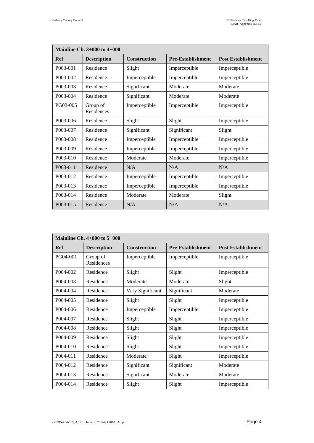| <b>Mainline Ch. 3+000 to 4+000</b> |                        |                     |                          |                           |
|------------------------------------|------------------------|---------------------|--------------------------|---------------------------|
| Ref                                | <b>Description</b>     | <b>Construction</b> | <b>Pre-Establishment</b> | <b>Post Establishment</b> |
| P003-001                           | Residence              | Slight              | Imperceptible            | Imperceptible             |
| P003-002                           | Residence              | Imperceptible       | Imperceptible            | Imperceptible             |
| P003-003                           | Residence              | Significant         | Moderate                 | Moderate                  |
| P003-004                           | Residence              | Significant         | Moderate                 | Moderate                  |
| PG03-005                           | Group of<br>Residences | Imperceptible       | Imperceptible            | Imperceptible             |
| P003-006                           | Residence              | Slight              | Slight                   | Imperceptible             |
| P003-007                           | Residence              | Significant         | Significant              | Slight                    |
| P003-008                           | Residence              | Imperceptible       | Imperceptible            | Imperceptible             |
| P003-009                           | Residence              | Imperceptible       | Imperceptible            | Imperceptible             |
| P003-010                           | Residence              | Moderate            | Moderate                 | Imperceptible             |
| P003-011                           | Residence              | N/A                 | N/A                      | N/A                       |
| P003-012                           | Residence              | Imperceptible       | Imperceptible            | Imperceptible             |
| P003-013                           | Residence              | Imperceptible       | Imperceptible            | Imperceptible             |
| P003-014                           | Residence              | Moderate            | Moderate                 | Slight                    |
| P003-015                           | Residence              | N/A                 | N/A                      | N/A                       |

| Mainline Ch. $4+000$ to $5+000$ |                        |                     |                          |                           |
|---------------------------------|------------------------|---------------------|--------------------------|---------------------------|
| Ref                             | <b>Description</b>     | <b>Construction</b> | <b>Pre-Establishment</b> | <b>Post Establishment</b> |
| PG04-001                        | Group of<br>Residences | Imperceptible       | Imperceptible            | Imperceptible             |
| P004-002                        | Residence              | Slight              | Slight                   | Imperceptible             |
| P <sub>004</sub> -003           | Residence              | Moderate            | Moderate                 | Slight                    |
| P004-004                        | Residence              | Very Significant    | Significant              | Moderate                  |
| P004-005                        | Residence              | Slight              | Slight                   | Imperceptible             |
| P004-006                        | Residence              | Imperceptible       | Imperceptible            | Imperceptible             |
| P004-007                        | Residence              | Slight              | Slight                   | Imperceptible             |
| P004-008                        | Residence              | Slight              | Slight                   | Imperceptible             |
| P004-009                        | Residence              | Slight              | Slight                   | Imperceptible             |
| P004-010                        | Residence              | Slight              | Slight                   | Imperceptible             |
| P004-011                        | Residence              | Moderate            | Slight                   | Imperceptible             |
| P004-012                        | Residence              | Significant         | Significant              | Moderate                  |
| P004-013                        | Residence              | Significant         | Moderate                 | Moderate                  |
| P004-014                        | Residence              | Slight              | Slight                   | Imperceptible             |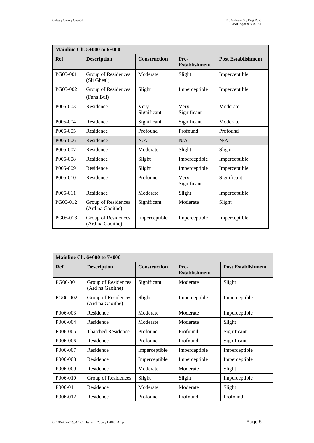| Mainline Ch. $5+000$ to $6+000$ |                                         |                     |                              |                           |  |
|---------------------------------|-----------------------------------------|---------------------|------------------------------|---------------------------|--|
| Ref                             | <b>Description</b>                      | <b>Construction</b> | Pre-<br><b>Establishment</b> | <b>Post Establishment</b> |  |
| PG05-001                        | Group of Residences<br>(Sli Gheal)      | Moderate            | Slight                       | Imperceptible             |  |
| PG05-002                        | Group of Residences<br>(Fana Bui)       | Slight              | Imperceptible                | Imperceptible             |  |
| P005-003                        | Residence                               | Very<br>Significant | Very<br>Significant          | Moderate                  |  |
| P005-004                        | Residence                               | Significant         | Significant                  | Moderate                  |  |
| P005-005                        | Residence                               | Profound            | Profound                     | Profound                  |  |
| P005-006                        | Residence                               | N/A                 | N/A                          | N/A                       |  |
| P005-007                        | Residence                               | Moderate            | Slight                       | Slight                    |  |
| P005-008                        | Residence                               | Slight              | Imperceptible                | Imperceptible             |  |
| P005-009                        | Residence                               | Slight              | Imperceptible                | Imperceptible             |  |
| P005-010                        | Residence                               | Profound            | Very<br>Significant          | Significant               |  |
| P005-011                        | Residence                               | Moderate            | Slight                       | Imperceptible             |  |
| PG05-012                        | Group of Residences<br>(Ard na Gaoithe) | Significant         | Moderate                     | Slight                    |  |
| PG05-013                        | Group of Residences<br>(Ard na Gaoithe) | Imperceptible       | Imperceptible                | Imperceptible             |  |

| Mainline Ch. $6+000$ to $7+000$ |                                         |                     |                              |                           |
|---------------------------------|-----------------------------------------|---------------------|------------------------------|---------------------------|
| Ref                             | <b>Description</b>                      | <b>Construction</b> | Pre-<br><b>Establishment</b> | <b>Post Establishment</b> |
| PG06-001                        | Group of Residences<br>(Ard na Gaoithe) | Significant         | Moderate                     | Slight                    |
| PG06-002                        | Group of Residences<br>(Ard na Gaoithe) | Slight              | Imperceptible                | Imperceptible             |
| P006-003                        | Residence                               | Moderate            | Moderate                     | Imperceptible             |
| P006-004                        | Residence                               | Moderate            | Moderate                     | Slight                    |
| P006-005                        | <b>Thatched Residence</b>               | Profound            | Profound                     | Significant               |
| P006-006                        | Residence                               | Profound            | Profound                     | Significant               |
| P006-007                        | Residence                               | Imperceptible       | Imperceptible                | Imperceptible             |
| P006-008                        | Residence                               | Imperceptible       | Imperceptible                | Imperceptible             |
| P006-009                        | Residence                               | Moderate            | Moderate                     | Slight                    |
| P006-010                        | Group of Residences                     | Slight              | Slight                       | Imperceptible             |
| P006-011                        | Residence                               | Moderate            | Moderate                     | Slight                    |
| P006-012                        | Residence                               | Profound            | Profound                     | Profound                  |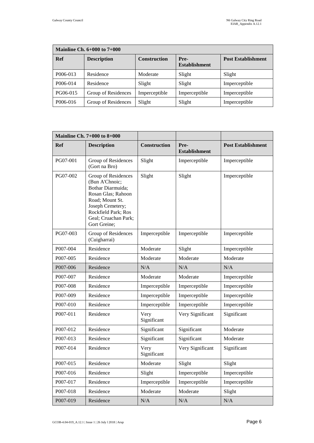| <b>Mainline Ch. <math>6+000</math> to <math>7+000</math></b> |                     |                     |                              |                           |  |
|--------------------------------------------------------------|---------------------|---------------------|------------------------------|---------------------------|--|
| <b>Ref</b>                                                   | <b>Description</b>  | <b>Construction</b> | Pre-<br><b>Establishment</b> | <b>Post Establishment</b> |  |
| P006-013                                                     | Residence           | Moderate            | Slight                       | Slight                    |  |
| P006-014                                                     | Residence           | Slight              | Slight                       | Imperceptible             |  |
| PG06-015                                                     | Group of Residences | Imperceptible       | Imperceptible                | Imperceptible             |  |
| P006-016                                                     | Group of Residences | Slight              | Slight                       | Imperceptible             |  |

|            | Mainline Ch. $7+000$ to $8+000$                                                                                                                                                        |                     |                              |                           |
|------------|----------------------------------------------------------------------------------------------------------------------------------------------------------------------------------------|---------------------|------------------------------|---------------------------|
| <b>Ref</b> | <b>Description</b>                                                                                                                                                                     | <b>Construction</b> | Pre-<br><b>Establishment</b> | <b>Post Establishment</b> |
| PG07-001   | Group of Residences<br>(Gort na Bro)                                                                                                                                                   | Slight              | Imperceptible                | Imperceptible             |
| PG07-002   | Group of Residences<br>(Bun A'Chnoic;<br>Bothar Diarmuida;<br>Rosan Glas; Rahoon<br>Road; Mount St.<br>Joseph Cemetery;<br>Rockfield Park; Ros<br>Geal; Cruachan Park;<br>Gort Greine; | Slight              | Slight                       | Imperceptible             |
| PG07-003   | Group of Residences<br>(Cuigharrai)                                                                                                                                                    | Imperceptible       | Imperceptible                | Imperceptible             |
| P007-004   | Residence                                                                                                                                                                              | Moderate            | Slight                       | Imperceptible             |
| P007-005   | Residence                                                                                                                                                                              | Moderate            | Moderate                     | Moderate                  |
| P007-006   | Residence                                                                                                                                                                              | N/A                 | N/A                          | N/A                       |
| P007-007   | Residence                                                                                                                                                                              | Moderate            | Moderate                     | Imperceptible             |
| P007-008   | Residence                                                                                                                                                                              | Imperceptible       | Imperceptible                | Imperceptible             |
| P007-009   | Residence                                                                                                                                                                              | Imperceptible       | Imperceptible                | Imperceptible             |
| P007-010   | Residence                                                                                                                                                                              | Imperceptible       | Imperceptible                | Imperceptible             |
| P007-011   | Residence                                                                                                                                                                              | Very<br>Significant | Very Significant             | Significant               |
| P007-012   | Residence                                                                                                                                                                              | Significant         | Significant                  | Moderate                  |
| P007-013   | Residence                                                                                                                                                                              | Significant         | Significant                  | Moderate                  |
| P007-014   | Residence                                                                                                                                                                              | Very<br>Significant | Very Significant             | Significant               |
| P007-015   | Residence                                                                                                                                                                              | Moderate            | Slight                       | Slight                    |
| P007-016   | Residence                                                                                                                                                                              | Slight              | Imperceptible                | Imperceptible             |
| P007-017   | Residence                                                                                                                                                                              | Imperceptible       | Imperceptible                | Imperceptible             |
| P007-018   | Residence                                                                                                                                                                              | Moderate            | Moderate                     | Slight                    |
| P007-019   | Residence                                                                                                                                                                              | N/A                 | N/A                          | N/A                       |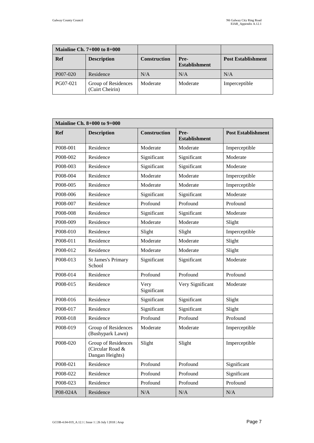|            | Mainline Ch. $7+000$ to $8+000$        |                     |                              |                           |
|------------|----------------------------------------|---------------------|------------------------------|---------------------------|
| <b>Ref</b> | <b>Description</b>                     | <b>Construction</b> | Pre-<br><b>Establishment</b> | <b>Post Establishment</b> |
| P007-020   | Residence                              | N/A                 | N/A                          | N/A                       |
| PG07-021   | Group of Residences<br>(Cuirt Cheirin) | Moderate            | Moderate                     | Imperceptible             |

| <b>Mainline Ch. 8+000 to 9+000</b> |                                                            |                     |                              |                           |  |
|------------------------------------|------------------------------------------------------------|---------------------|------------------------------|---------------------------|--|
| Ref                                | <b>Description</b>                                         | <b>Construction</b> | Pre-<br><b>Establishment</b> | <b>Post Establishment</b> |  |
| P008-001                           | Residence                                                  | Moderate            | Moderate                     | Imperceptible             |  |
| P008-002                           | Residence                                                  | Significant         | Significant                  | Moderate                  |  |
| P008-003                           | Residence                                                  | Significant         | Significant                  | Moderate                  |  |
| P008-004                           | Residence                                                  | Moderate            | Moderate                     | Imperceptible             |  |
| P008-005                           | Residence                                                  | Moderate            | Moderate                     | Imperceptible             |  |
| P008-006                           | Residence                                                  | Significant         | Significant                  | Moderate                  |  |
| P008-007                           | Residence                                                  | Profound            | Profound                     | Profound                  |  |
| P008-008                           | Residence                                                  | Significant         | Significant                  | Moderate                  |  |
| P008-009                           | Residence                                                  | Moderate            | Moderate                     | Slight                    |  |
| P008-010                           | Residence                                                  | Slight              | Slight                       | Imperceptible             |  |
| P008-011                           | Residence                                                  | Moderate            | Moderate                     | Slight                    |  |
| P008-012                           | Residence                                                  | Moderate            | Moderate                     | Slight                    |  |
| P008-013                           | <b>St James's Primary</b><br>School                        | Significant         | Significant                  | Moderate                  |  |
| P008-014                           | Residence                                                  | Profound            | Profound                     | Profound                  |  |
| P008-015                           | Residence                                                  | Very<br>Significant | Very Significant             | Moderate                  |  |
| P008-016                           | Residence                                                  | Significant         | Significant                  | Slight                    |  |
| P008-017                           | Residence                                                  | Significant         | Significant                  | Slight                    |  |
| P008-018                           | Residence                                                  | Profound            | Profound                     | Profound                  |  |
| P008-019                           | Group of Residences<br>(Bushypark Lawn)                    | Moderate            | Moderate                     | Imperceptible             |  |
| P008-020                           | Group of Residences<br>(Circular Road &<br>Dangan Heights) | Slight              | Slight                       | Imperceptible             |  |
| P008-021                           | Residence                                                  | Profound            | Profound                     | Significant               |  |
| P008-022                           | Residence                                                  | Profound            | Profound                     | Significant               |  |
| P008-023                           | Residence                                                  | Profound            | Profound                     | Profound                  |  |
| P08-024A                           | Residence                                                  | $\rm N/A$           | $\rm N/A$                    | $\rm N/A$                 |  |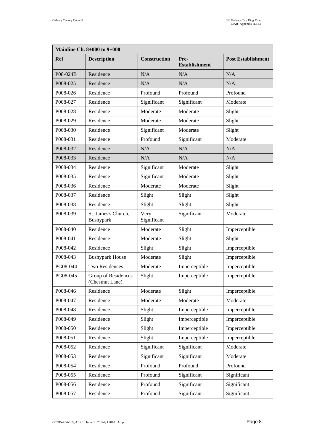| <b>Mainline Ch. 8+000 to 9+000</b> |                                        |                     |                              |                           |
|------------------------------------|----------------------------------------|---------------------|------------------------------|---------------------------|
| <b>Ref</b>                         | <b>Description</b>                     | Construction        | Pre-<br><b>Establishment</b> | <b>Post Establishment</b> |
| P08-024B                           | Residence                              | N/A                 | N/A                          | N/A                       |
| P008-025                           | Residence                              | N/A                 | N/A                          | N/A                       |
| P008-026                           | Residence                              | Profound            | Profound                     | Profound                  |
| P008-027                           | Residence                              | Significant         | Significant                  | Moderate                  |
| P008-028                           | Residence                              | Moderate            | Moderate                     | Slight                    |
| P008-029                           | Residence                              | Moderate            | Moderate                     | Slight                    |
| P008-030                           | Residence                              | Significant         | Moderate                     | Slight                    |
| P008-031                           | Residence                              | Profound            | Significant                  | Moderate                  |
| P008-032                           | Residence                              | N/A                 | N/A                          | N/A                       |
| P008-033                           | Residence                              | N/A                 | N/A                          | N/A                       |
| P008-034                           | Residence                              | Significant         | Moderate                     | Slight                    |
| P008-035                           | Residence                              | Significant         | Moderate                     | Slight                    |
| P008-036                           | Residence                              | Moderate            | Moderate                     | Slight                    |
| P008-037                           | Residence                              | Slight              | Slight                       | Slight                    |
| P008-038                           | Residence                              | Slight              | Slight                       | Slight                    |
| P008-039                           | St. James's Church,<br>Bushypark       | Very<br>Significant | Significant                  | Moderate                  |
| P008-040                           | Residence                              | Moderate            | Slight                       | Imperceptible             |
| P008-041                           | Residence                              | Moderate            | Slight                       | Slight                    |
| P008-042                           | Residence                              | Slight              | Slight                       | Imperceptible             |
| P008-043                           | <b>Bushypark House</b>                 | Moderate            | Slight                       | Imperceptible             |
| PG08-044                           | Two Residences                         | Moderate            | Imperceptible                | Imperceptible             |
| PG08-045                           | Group of Residences<br>(Chestnut Lane) | Slight              | Imperceptible                | Imperceptible             |
| P008-046                           | Residence                              | Moderate            | Slight                       | Imperceptible             |
| P008-047                           | Residence                              | Moderate            | Moderate                     | Moderate                  |
| P008-048                           | Residence                              | Slight              | Imperceptible                | Imperceptible             |
| P008-049                           | Residence                              | Slight              | Imperceptible                | Imperceptible             |
| P008-050                           | Residence                              | Slight              | Imperceptible                | Imperceptible             |
| P008-051                           | Residence                              | Slight              | Imperceptible                | Imperceptible             |
| P008-052                           | Residence                              | Significant         | Significant                  | Moderate                  |
| P008-053                           | Residence                              | Significant         | Significant                  | Moderate                  |
| P008-054                           | Residence                              | Profound            | Profound                     | Profound                  |
| P008-055                           | Residence                              | Profound            | Significant                  | Significant               |
| P008-056                           | Residence                              | Profound            | Significant                  | Significant               |
| P008-057                           | Residence                              | Profound            | Significant                  | Significant               |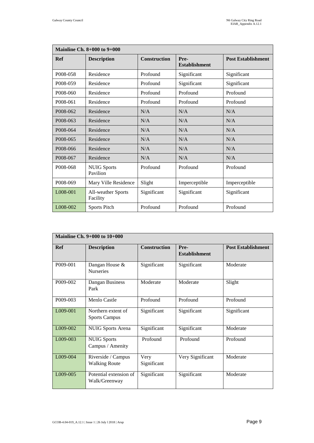| <b>Mainline Ch. 8+000 to 9+000</b> |                                |                     |                              |                           |
|------------------------------------|--------------------------------|---------------------|------------------------------|---------------------------|
| Ref                                | <b>Description</b>             | <b>Construction</b> | Pre-<br><b>Establishment</b> | <b>Post Establishment</b> |
| P008-058                           | Residence                      | Profound            | Significant                  | Significant               |
| P008-059                           | Residence                      | Profound            | Significant                  | Significant               |
| P008-060                           | Residence                      | Profound            | Profound                     | Profound                  |
| P008-061                           | Residence                      | Profound            | Profound                     | Profound                  |
| P008-062                           | Residence                      | N/A                 | N/A                          | N/A                       |
| P008-063                           | Residence                      | N/A                 | N/A                          | N/A                       |
| P008-064                           | Residence                      | N/A                 | N/A                          | N/A                       |
| P008-065                           | Residence                      | N/A                 | N/A                          | N/A                       |
| P008-066                           | Residence                      | N/A                 | N/A                          | N/A                       |
| P008-067                           | Residence                      | N/A                 | N/A                          | N/A                       |
| P008-068                           | <b>NUIG Sports</b><br>Pavilion | Profound            | Profound                     | Profound                  |
| P008-069                           | Mary Ville Residence           | Slight              | Imperceptible                | Imperceptible             |
| L008-001                           | All-weather Sports<br>Facility | Significant         | Significant                  | Significant               |
| L008-002                           | <b>Sports Pitch</b>            | Profound            | Profound                     | Profound                  |

| Mainline Ch. $9+000$ to $10+000$ |                                            |                     |                              |                           |  |
|----------------------------------|--------------------------------------------|---------------------|------------------------------|---------------------------|--|
| Ref                              | <b>Description</b>                         | <b>Construction</b> | Pre-<br><b>Establishment</b> | <b>Post Establishment</b> |  |
| P009-001                         | Dangan House &<br><b>Nurseries</b>         | Significant         | Significant                  | Moderate                  |  |
| P009-002                         | Dangan Business<br>Park                    | Moderate            | Moderate                     | Slight                    |  |
| P009-003                         | Menlo Castle                               | Profound            | Profound                     | Profound                  |  |
| L009-001                         | Northern extent of<br><b>Sports Campus</b> | Significant         | Significant                  | Significant               |  |
| L009-002                         | <b>NUIG</b> Sports Arena                   | Significant         | Significant                  | Moderate                  |  |
| L009-003                         | <b>NUIG Sports</b><br>Campus / Amenity     | Profound            | Profound                     | Profound                  |  |
| L009-004                         | Riverside / Campus<br><b>Walking Route</b> | Very<br>Significant | Very Significant             | Moderate                  |  |
| L009-005                         | Potential extension of<br>Walk/Greenway    | Significant         | Significant                  | Moderate                  |  |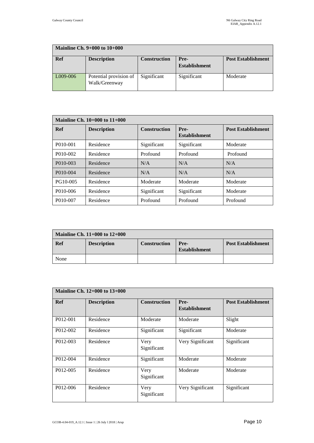| Mainline Ch. $9+000$ to $10+000$ |                                         |                     |                              |                           |
|----------------------------------|-----------------------------------------|---------------------|------------------------------|---------------------------|
| Ref                              | <b>Description</b>                      | <b>Construction</b> | Pre-<br><b>Establishment</b> | <b>Post Establishment</b> |
| L009-006                         | Potential provision of<br>Walk/Greenway | Significant         | Significant                  | Moderate                  |

| Mainline Ch. $10+000$ to $11+000$ |                    |                     |                              |                           |
|-----------------------------------|--------------------|---------------------|------------------------------|---------------------------|
| Ref                               | <b>Description</b> | <b>Construction</b> | Pre-<br><b>Establishment</b> | <b>Post Establishment</b> |
| P010-001                          | Residence          | Significant         | Significant                  | Moderate                  |
| P010-002                          | Residence          | Profound            | Profound                     | Profound                  |
| P010-003                          | Residence          | N/A                 | N/A                          | N/A                       |
| P010-004                          | Residence          | N/A                 | N/A                          | N/A                       |
| PG10-005                          | Residence          | Moderate            | Moderate                     | Moderate                  |
| P010-006                          | Residence          | Significant         | Significant                  | Moderate                  |
| P010-007                          | Residence          | Profound            | Profound                     | Profound                  |

| Mainline Ch. $11+000$ to $12+000$ |                    |                     |                              |                           |
|-----------------------------------|--------------------|---------------------|------------------------------|---------------------------|
| Ref                               | <b>Description</b> | <b>Construction</b> | Pre-<br><b>Establishment</b> | <b>Post Establishment</b> |
| None                              |                    |                     |                              |                           |

|            | <b>Mainline Ch. 12+000 to 13+000</b> |                     |                              |                           |  |
|------------|--------------------------------------|---------------------|------------------------------|---------------------------|--|
| <b>Ref</b> | <b>Description</b>                   | <b>Construction</b> | Pre-<br><b>Establishment</b> | <b>Post Establishment</b> |  |
| P012-001   | Residence                            | Moderate            | Moderate                     | Slight                    |  |
| P012-002   | Residence                            | Significant         | Significant                  | Moderate                  |  |
| P012-003   | Residence                            | Very<br>Significant | Very Significant             | Significant               |  |
| P012-004   | Residence                            | Significant         | Moderate                     | Moderate                  |  |
| P012-005   | Residence                            | Very<br>Significant | Moderate                     | Moderate                  |  |
| P012-006   | Residence                            | Very<br>Significant | Very Significant             | Significant               |  |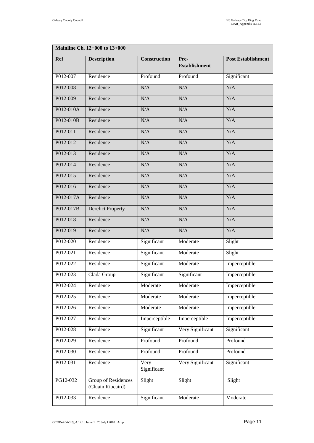| <b>Mainline Ch. 12+000 to 13+000</b> |                                          |                     |                              |                           |  |
|--------------------------------------|------------------------------------------|---------------------|------------------------------|---------------------------|--|
| Ref                                  | <b>Description</b>                       | <b>Construction</b> | Pre-<br><b>Establishment</b> | <b>Post Establishment</b> |  |
| P012-007                             | Residence                                | Profound            | Profound                     | Significant               |  |
| P012-008                             | Residence                                | N/A                 | N/A                          | N/A                       |  |
| P012-009                             | Residence                                | N/A                 | N/A                          | N/A                       |  |
| P012-010A                            | Residence                                | N/A                 | N/A                          | N/A                       |  |
| P012-010B                            | Residence                                | N/A                 | N/A                          | N/A                       |  |
| P012-011                             | Residence                                | N/A                 | N/A                          | N/A                       |  |
| P012-012                             | Residence                                | N/A                 | N/A                          | N/A                       |  |
| P012-013                             | Residence                                | N/A                 | N/A                          | N/A                       |  |
| P012-014                             | Residence                                | N/A                 | N/A                          | N/A                       |  |
| P012-015                             | Residence                                | N/A                 | N/A                          | N/A                       |  |
| P012-016                             | Residence                                | N/A                 | N/A                          | N/A                       |  |
| P012-017A                            | Residence                                | N/A                 | N/A                          | N/A                       |  |
| P012-017B                            | <b>Derelict Property</b>                 | N/A                 | N/A                          | N/A                       |  |
| P012-018                             | Residence                                | N/A                 | N/A                          | N/A                       |  |
| P012-019                             | Residence                                | N/A                 | N/A                          | N/A                       |  |
| P012-020                             | Residence                                | Significant         | Moderate                     | Slight                    |  |
| P012-021                             | Residence                                | Significant         | Moderate                     | Slight                    |  |
| P012-022                             | Residence                                | Significant         | Moderate                     | Imperceptible             |  |
| P012-023                             | Clada Group                              | Significant         | Significant                  | Imperceptible             |  |
| P012-024                             | Residence                                | Moderate            | Moderate                     | Imperceptible             |  |
| P012-025                             | Residence                                | Moderate            | Moderate                     | Imperceptible             |  |
| P012-026                             | Residence                                | Moderate            | Moderate                     | Imperceptible             |  |
| P012-027                             | Residence                                | Imperceptible       | Imperceptible                | Imperceptible             |  |
| P012-028                             | Residence                                | Significant         | Very Significant             | Significant               |  |
| P012-029                             | Residence                                | Profound            | Profound                     | Profound                  |  |
| P012-030                             | Residence                                | Profound            | Profound                     | Profound                  |  |
| P012-031                             | Residence                                | Very<br>Significant | Very Significant             | Significant               |  |
| PG12-032                             | Group of Residences<br>(Cluain Riocaird) | Slight              | Slight                       | Slight                    |  |
| P012-033                             | Residence                                | Significant         | Moderate                     | Moderate                  |  |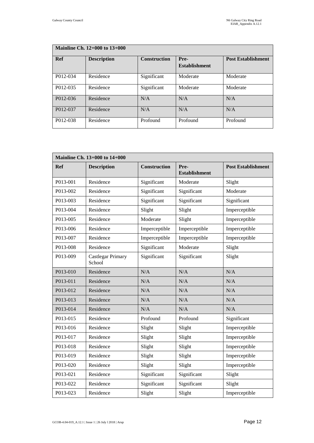| Mainline Ch. $12+000$ to $13+000$ |                    |                     |                              |                           |
|-----------------------------------|--------------------|---------------------|------------------------------|---------------------------|
| Ref                               | <b>Description</b> | <b>Construction</b> | Pre-<br><b>Establishment</b> | <b>Post Establishment</b> |
| P012-034                          | Residence          | Significant         | Moderate                     | Moderate                  |
| P012-035                          | Residence          | Significant         | Moderate                     | Moderate                  |
| P012-036                          | Residence          | N/A                 | N/A                          | N/A                       |
| P012-037                          | Residence          | N/A                 | N/A                          | N/A                       |
| P012-038                          | Residence          | Profound            | Profound                     | Profound                  |

| <b>Mainline Ch. 13+000 to 14+000</b> |                                    |                     |                              |                           |
|--------------------------------------|------------------------------------|---------------------|------------------------------|---------------------------|
| Ref                                  | <b>Description</b>                 | <b>Construction</b> | Pre-<br><b>Establishment</b> | <b>Post Establishment</b> |
| P013-001                             | Residence                          | Significant         | Moderate                     | Slight                    |
| P013-002                             | Residence                          | Significant         | Significant                  | Moderate                  |
| P013-003                             | Residence                          | Significant         | Significant                  | Significant               |
| P013-004                             | Residence                          | Slight              | Slight                       | Imperceptible             |
| P013-005                             | Residence                          | Moderate            | Slight                       | Imperceptible             |
| P013-006                             | Residence                          | Imperceptible       | Imperceptible                | Imperceptible             |
| P013-007                             | Residence                          | Imperceptible       | Imperceptible                | Imperceptible             |
| P013-008                             | Residence                          | Significant         | Moderate                     | Slight                    |
| P013-009                             | <b>Castlegar Primary</b><br>School | Significant         | Significant                  | Slight                    |
| P013-010                             | Residence                          | N/A                 | N/A                          | N/A                       |
| P013-011                             | Residence                          | N/A                 | N/A                          | N/A                       |
| P013-012                             | Residence                          | N/A                 | N/A                          | N/A                       |
| P013-013                             | Residence                          | N/A                 | N/A                          | N/A                       |
| P013-014                             | Residence                          | N/A                 | N/A                          | N/A                       |
| P013-015                             | Residence                          | Profound            | Profound                     | Significant               |
| P013-016                             | Residence                          | Slight              | Slight                       | Imperceptible             |
| P013-017                             | Residence                          | Slight              | Slight                       | Imperceptible             |
| P013-018                             | Residence                          | Slight              | Slight                       | Imperceptible             |
| P013-019                             | Residence                          | Slight              | Slight                       | Imperceptible             |
| P013-020                             | Residence                          | Slight              | Slight                       | Imperceptible             |
| P013-021                             | Residence                          | Significant         | Significant                  | Slight                    |
| P013-022                             | Residence                          | Significant         | Significant                  | Slight                    |
| P013-023                             | Residence                          | Slight              | Slight                       | Imperceptible             |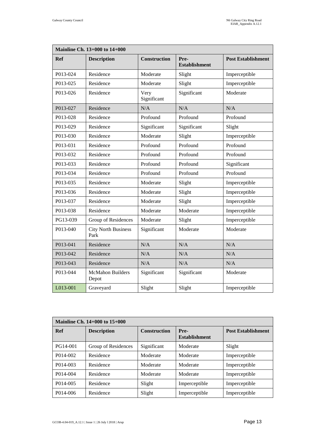| <b>Mainline Ch. 13+000 to 14+000</b> |                                    |                     |                              |                           |
|--------------------------------------|------------------------------------|---------------------|------------------------------|---------------------------|
| <b>Ref</b>                           | <b>Description</b>                 | <b>Construction</b> | Pre-<br><b>Establishment</b> | <b>Post Establishment</b> |
| P013-024                             | Residence                          | Moderate            | Slight                       | Imperceptible             |
| P013-025                             | Residence                          | Moderate            | Slight                       | Imperceptible             |
| P013-026                             | Residence                          | Very<br>Significant | Significant                  | Moderate                  |
| P013-027                             | Residence                          | N/A                 | N/A                          | N/A                       |
| P013-028                             | Residence                          | Profound            | Profound                     | Profound                  |
| P013-029                             | Residence                          | Significant         | Significant                  | Slight                    |
| P013-030                             | Residence                          | Moderate            | Slight                       | Imperceptible             |
| P013-031                             | Residence                          | Profound            | Profound                     | Profound                  |
| P013-032                             | Residence                          | Profound            | Profound                     | Profound                  |
| P013-033                             | Residence                          | Profound            | Profound                     | Significant               |
| P013-034                             | Residence                          | Profound            | Profound                     | Profound                  |
| P013-035                             | Residence                          | Moderate            | Slight                       | Imperceptible             |
| P013-036                             | Residence                          | Moderate            | Slight                       | Imperceptible             |
| P013-037                             | Residence                          | Moderate            | Slight                       | Imperceptible             |
| P013-038                             | Residence                          | Moderate            | Moderate                     | Imperceptible             |
| PG13-039                             | Group of Residences                | Moderate            | Slight                       | Imperceptible             |
| P013-040                             | <b>City North Business</b><br>Park | Significant         | Moderate                     | Moderate                  |
| P013-041                             | Residence                          | N/A                 | N/A                          | N/A                       |
| P013-042                             | Residence                          | N/A                 | N/A                          | N/A                       |
| P013-043                             | Residence                          | N/A                 | N/A                          | $\rm N/A$                 |
| P013-044                             | <b>McMahon Builders</b><br>Depot   | Significant         | Significant                  | Moderate                  |
| L013-001                             | Graveyard                          | Slight              | Slight                       | Imperceptible             |

| <b>Mainline Ch. 14+000 to 15+000</b> |                     |                     |                              |                           |
|--------------------------------------|---------------------|---------------------|------------------------------|---------------------------|
| Ref                                  | <b>Description</b>  | <b>Construction</b> | Pre-<br><b>Establishment</b> | <b>Post Establishment</b> |
| PG14-001                             | Group of Residences | Significant         | Moderate                     | Slight                    |
| P014-002                             | Residence           | Moderate            | Moderate                     | Imperceptible             |
| P014-003                             | Residence           | Moderate            | Moderate                     | Imperceptible             |
| P014-004                             | Residence           | Moderate            | Moderate                     | Imperceptible             |
| P <sub>014</sub> -005                | Residence           | Slight              | Imperceptible                | Imperceptible             |
| P014-006                             | Residence           | Slight              | Imperceptible                | Imperceptible             |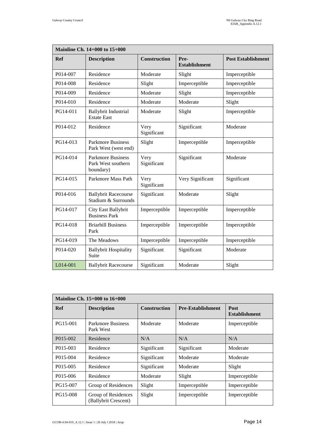| <b>Mainline Ch. 14+000 to 15+000</b> |                                                             |                     |                              |                           |
|--------------------------------------|-------------------------------------------------------------|---------------------|------------------------------|---------------------------|
| <b>Ref</b>                           | <b>Description</b>                                          | <b>Construction</b> | Pre-<br><b>Establishment</b> | <b>Post Establishment</b> |
| P014-007                             | Residence                                                   | Moderate            | Slight                       | Imperceptible             |
| P014-008                             | Residence                                                   | Slight              | Imperceptible                | Imperceptible             |
| P014-009                             | Residence                                                   | Moderate            | Slight                       | Imperceptible             |
| P014-010                             | Residence                                                   | Moderate            | Moderate                     | Slight                    |
| PG14-011                             | <b>Ballybrit Industrial</b><br><b>Estate East</b>           | Moderate            | Slight                       | Imperceptible             |
| P014-012                             | Residence                                                   | Very<br>Significant | Significant                  | Moderate                  |
| PG14-013                             | <b>Parkmore Business</b><br>Park West (west end)            | Slight              | Imperceptible                | Imperceptible             |
| PG14-014                             | <b>Parkmore Business</b><br>Park West southern<br>boundary) | Very<br>Significant | Significant                  | Moderate                  |
| PG14-015                             | Parkmore Mass Path                                          | Very<br>Significant | Very Significant             | Significant               |
| P014-016                             | <b>Ballybrit Racecourse</b><br>Stadium & Surrounds          | Significant         | Moderate                     | Slight                    |
| PG14-017                             | City East Ballybrit<br><b>Business Park</b>                 | Imperceptible       | Imperceptible                | Imperceptible             |
| PG14-018                             | <b>Briarhill Business</b><br>Park                           | Imperceptible       | Imperceptible                | Imperceptible             |
| PG14-019                             | The Meadows                                                 | Imperceptible       | Imperceptible                | Imperceptible             |
| P014-020                             | <b>Ballybrit Hospitality</b><br>Suite                       | Significant         | Significant                  | Moderate                  |
| L014-001                             | <b>Ballybrit Racecourse</b>                                 | Significant         | Moderate                     | Slight                    |

| <b>Mainline Ch. 15+000 to 16+000</b> |                                             |                     |                          |                                     |
|--------------------------------------|---------------------------------------------|---------------------|--------------------------|-------------------------------------|
| <b>Ref</b>                           | <b>Description</b>                          | <b>Construction</b> | <b>Pre-Establishment</b> | <b>Post</b><br><b>Establishment</b> |
| PG15-001                             | <b>Parkmore Business</b><br>Park West       | Moderate            | Moderate                 | Imperceptible                       |
| P015-002                             | Residence                                   | N/A                 | N/A                      | N/A                                 |
| P015-003                             | Residence                                   | Significant         | Significant              | Moderate                            |
| P015-004                             | Residence                                   | Significant         | Moderate                 | Moderate                            |
| P <sub>015</sub> -005                | Residence                                   | Significant         | Moderate                 | Slight                              |
| P015-006                             | Residence                                   | Moderate            | Slight                   | Imperceptible                       |
| PG15-007                             | Group of Residences                         | Slight              | Imperceptible            | Imperceptible                       |
| PG15-008                             | Group of Residences<br>(Ballybrit Crescent) | Slight              | Imperceptible            | Imperceptible                       |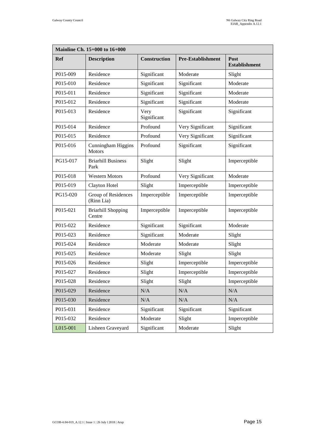| <b>Mainline Ch. 15+000 to 16+000</b> |                                     |                     |                          |                              |  |
|--------------------------------------|-------------------------------------|---------------------|--------------------------|------------------------------|--|
| <b>Ref</b>                           | <b>Description</b>                  | Construction        | <b>Pre-Establishment</b> | Post<br><b>Establishment</b> |  |
| P015-009                             | Residence                           | Significant         | Moderate                 | Slight                       |  |
| P015-010                             | Residence                           | Significant         | Significant              | Moderate                     |  |
| P015-011                             | Residence                           | Significant         | Significant              | Moderate                     |  |
| P015-012                             | Residence                           | Significant         | Significant              | Moderate                     |  |
| P015-013                             | Residence                           | Very<br>Significant | Significant              | Significant                  |  |
| P015-014                             | Residence                           | Profound            | Very Significant         | Significant                  |  |
| P015-015                             | Residence                           | Profound            | Very Significant         | Significant                  |  |
| P015-016                             | Cunningham Higgins<br><b>Motors</b> | Profound            | Significant              | Significant                  |  |
| PG15-017                             | <b>Briarhill Business</b><br>Park   | Slight              | Slight                   | Imperceptible                |  |
| P015-018                             | <b>Western Motors</b>               | Profound            | Very Significant         | Moderate                     |  |
| P015-019                             | Clayton Hotel                       | Slight              | Imperceptible            | Imperceptible                |  |
| PG15-020                             | Group of Residences<br>(Rinn Lia)   | Imperceptible       | Imperceptible            | Imperceptible                |  |
| P015-021                             | <b>Briarhill Shopping</b><br>Centre | Imperceptible       | Imperceptible            | Imperceptible                |  |
| P015-022                             | Residence                           | Significant         | Significant              | Moderate                     |  |
| P015-023                             | Residence                           | Significant         | Moderate                 | Slight                       |  |
| P015-024                             | Residence                           | Moderate            | Moderate                 | Slight                       |  |
| P015-025                             | Residence                           | Moderate            | Slight                   | Slight                       |  |
| P015-026                             | Residence                           | Slight              | Imperceptible            | Imperceptible                |  |
| P015-027                             | Residence                           | Slight              | Imperceptible            | Imperceptible                |  |
| P015-028                             | Residence                           | Slight              | Slight                   | Imperceptible                |  |
| P015-029                             | Residence                           | N/A                 | $\rm N/A$                | $\rm N/A$                    |  |
| P015-030                             | Residence                           | N/A                 | N/A                      | N/A                          |  |
| P015-031                             | Residence                           | Significant         | Significant              | Significant                  |  |
| P015-032                             | Residence                           | Moderate            | Slight                   | Imperceptible                |  |
| L015-001                             | Lisheen Graveyard                   | Significant         | Moderate                 | Slight                       |  |